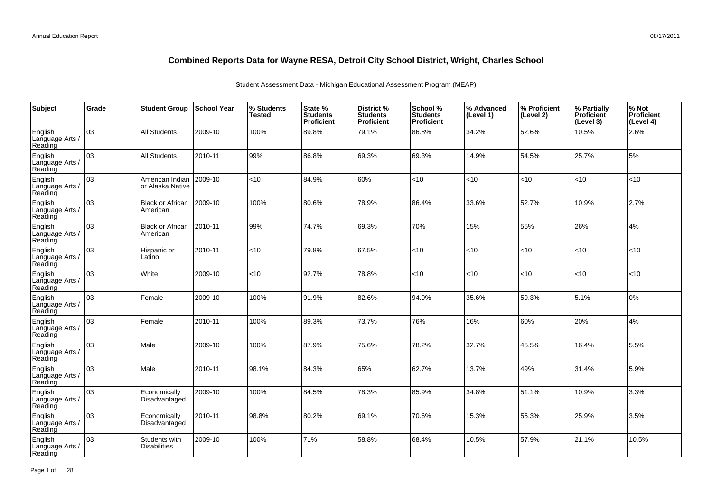| Subject                               | Grade | <b>Student Group</b>                 | <b>School Year</b> | % Students<br><b>Tested</b> | State %<br><b>Students</b><br>Proficient | District %<br><b>Students</b><br>Proficient | School %<br><b>Students</b><br><b>Proficient</b> | % Advanced<br>(Level 1) | % Proficient<br>(Level 2) | % Partially<br>Proficient<br>(Level 3) | % Not<br>Proficient<br>(Level 4) |
|---------------------------------------|-------|--------------------------------------|--------------------|-----------------------------|------------------------------------------|---------------------------------------------|--------------------------------------------------|-------------------------|---------------------------|----------------------------------------|----------------------------------|
| English<br>Language Arts /<br>Reading | 03    | All Students                         | 2009-10            | 100%                        | 89.8%                                    | 79.1%                                       | 86.8%                                            | 34.2%                   | 52.6%                     | 10.5%                                  | 2.6%                             |
| English<br>Language Arts /<br>Reading | 03    | <b>All Students</b>                  | 2010-11            | 99%                         | 86.8%                                    | 69.3%                                       | 69.3%                                            | 14.9%                   | 54.5%                     | 25.7%                                  | 5%                               |
| English<br>Language Arts /<br>Reading | 03    | American Indian<br>or Alaska Native  | 2009-10            | <10                         | 84.9%                                    | 60%                                         | $<$ 10                                           | < 10                    | <10                       | < 10                                   | <10                              |
| English<br>Language Arts /<br>Reading | 03    | <b>Black or African</b><br>American  | 2009-10            | 100%                        | 80.6%                                    | 78.9%                                       | 86.4%                                            | 33.6%                   | 52.7%                     | 10.9%                                  | 2.7%                             |
| English<br>Language Arts /<br>Reading | 03    | <b>Black or African</b><br>American  | 2010-11            | 99%                         | 74.7%                                    | 69.3%                                       | 70%                                              | 15%                     | 55%                       | 26%                                    | 4%                               |
| English<br>Language Arts /<br>Reading | 03    | Hispanic or<br>Latino                | 2010-11            | <10                         | 79.8%                                    | 67.5%                                       | <10                                              | <10                     | <10                       | < 10                                   | <10                              |
| English<br>Language Arts /<br>Reading | 03    | White                                | 2009-10            | <10                         | 92.7%                                    | 78.8%                                       | < 10                                             | <10                     | <10                       | < 10                                   | <10                              |
| English<br>Language Arts<br>Reading   | 03    | Female                               | 2009-10            | 100%                        | 91.9%                                    | 82.6%                                       | 94.9%                                            | 35.6%                   | 59.3%                     | 5.1%                                   | 0%                               |
| English<br>Language Arts<br>Reading   | 03    | Female                               | 2010-11            | 100%                        | 89.3%                                    | 73.7%                                       | 76%                                              | 16%                     | 60%                       | 20%                                    | 4%                               |
| English<br>Language Arts<br>Reading   | 03    | Male                                 | 2009-10            | 100%                        | 87.9%                                    | 75.6%                                       | 78.2%                                            | 32.7%                   | 45.5%                     | 16.4%                                  | 5.5%                             |
| English<br>Language Arts<br>Reading   | 03    | Male                                 | 2010-11            | 98.1%                       | 84.3%                                    | 65%                                         | 62.7%                                            | 13.7%                   | 49%                       | 31.4%                                  | 5.9%                             |
| English<br>Language Arts<br>Reading   | 03    | Economically<br>Disadvantaged        | 2009-10            | 100%                        | 84.5%                                    | 78.3%                                       | 85.9%                                            | 34.8%                   | 51.1%                     | 10.9%                                  | 3.3%                             |
| English<br>Language Arts<br>Reading   | 03    | Economically<br>Disadvantaged        | 2010-11            | 98.8%                       | 80.2%                                    | 69.1%                                       | 70.6%                                            | 15.3%                   | 55.3%                     | 25.9%                                  | 3.5%                             |
| English<br>Language Arts<br>Reading   | 03    | Students with<br><b>Disabilities</b> | 2009-10            | 100%                        | 71%                                      | 58.8%                                       | 68.4%                                            | 10.5%                   | 57.9%                     | 21.1%                                  | 10.5%                            |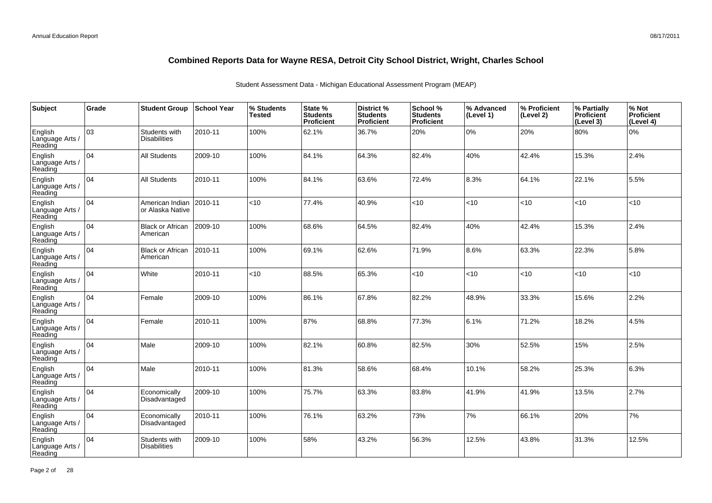| Subject                               | Grade | <b>Student Group</b>                 | School Year | % Students<br>Tested | State %<br><b>Students</b><br>Proficient | District %<br><b>Students</b><br>Proficient | School %<br><b>Students</b><br><b>Proficient</b> | % Advanced<br>(Level 1) | % Proficient<br>(Level 2) | % Partially<br>Proficient<br>(Level 3) | % Not<br>Proficient<br>(Level 4) |
|---------------------------------------|-------|--------------------------------------|-------------|----------------------|------------------------------------------|---------------------------------------------|--------------------------------------------------|-------------------------|---------------------------|----------------------------------------|----------------------------------|
| English<br>Language Arts /<br>Reading | 03    | Students with<br><b>Disabilities</b> | 2010-11     | 100%                 | 62.1%                                    | 36.7%                                       | 20%                                              | $0\%$                   | 20%                       | 80%                                    | 0%                               |
| English<br>Language Arts /<br>Reading | 04    | <b>All Students</b>                  | 2009-10     | 100%                 | 84.1%                                    | 64.3%                                       | 82.4%                                            | 40%                     | 42.4%                     | 15.3%                                  | 2.4%                             |
| English<br>Language Arts /<br>Reading | 04    | <b>All Students</b>                  | 2010-11     | 100%                 | 84.1%                                    | 63.6%                                       | 72.4%                                            | 8.3%                    | 64.1%                     | 22.1%                                  | 5.5%                             |
| English<br>Language Arts /<br>Reading | 04    | American Indian<br>or Alaska Native  | 2010-11     | <10                  | 77.4%                                    | 40.9%                                       | $<$ 10                                           | < 10                    | < 10                      | <10                                    | < 10                             |
| English<br>Language Arts /<br>Reading | 04    | <b>Black or African</b><br>American  | 2009-10     | 100%                 | 68.6%                                    | 64.5%                                       | 82.4%                                            | 40%                     | 42.4%                     | 15.3%                                  | 2.4%                             |
| English<br>Language Arts /<br>Reading | 04    | <b>Black or African</b><br>American  | 2010-11     | 100%                 | 69.1%                                    | 62.6%                                       | 71.9%                                            | 8.6%                    | 63.3%                     | 22.3%                                  | 5.8%                             |
| English<br>Language Arts /<br>Reading | 04    | White                                | 2010-11     | <10                  | 88.5%                                    | 65.3%                                       | $<10$                                            | < 10                    | < 10                      | <10                                    | < 10                             |
| English<br>Language Arts<br>Reading   | 04    | Female                               | 2009-10     | 100%                 | 86.1%                                    | 67.8%                                       | 82.2%                                            | 48.9%                   | 33.3%                     | 15.6%                                  | 2.2%                             |
| English<br>Language Arts<br>Reading   | 04    | Female                               | 2010-11     | 100%                 | 87%                                      | 68.8%                                       | 77.3%                                            | 6.1%                    | 71.2%                     | 18.2%                                  | 4.5%                             |
| English<br>Language Arts<br>Reading   | 04    | Male                                 | 2009-10     | 100%                 | 82.1%                                    | 60.8%                                       | 82.5%                                            | 30%                     | 52.5%                     | 15%                                    | 2.5%                             |
| English<br>Language Arts<br>Reading   | 04    | Male                                 | 2010-11     | 100%                 | 81.3%                                    | 58.6%                                       | 68.4%                                            | 10.1%                   | 58.2%                     | 25.3%                                  | 6.3%                             |
| English<br>Language Arts<br>Reading   | 04    | Economically<br>Disadvantaged        | 2009-10     | 100%                 | 75.7%                                    | 63.3%                                       | 83.8%                                            | 41.9%                   | 41.9%                     | 13.5%                                  | 2.7%                             |
| English<br>Language Arts<br>Reading   | 04    | Economically<br>Disadvantaged        | 2010-11     | 100%                 | 76.1%                                    | 63.2%                                       | 73%                                              | 7%                      | 66.1%                     | 20%                                    | 7%                               |
| English<br>Language Arts<br>Reading   | 04    | Students with<br><b>Disabilities</b> | 2009-10     | 100%                 | 58%                                      | 43.2%                                       | 56.3%                                            | 12.5%                   | 43.8%                     | 31.3%                                  | 12.5%                            |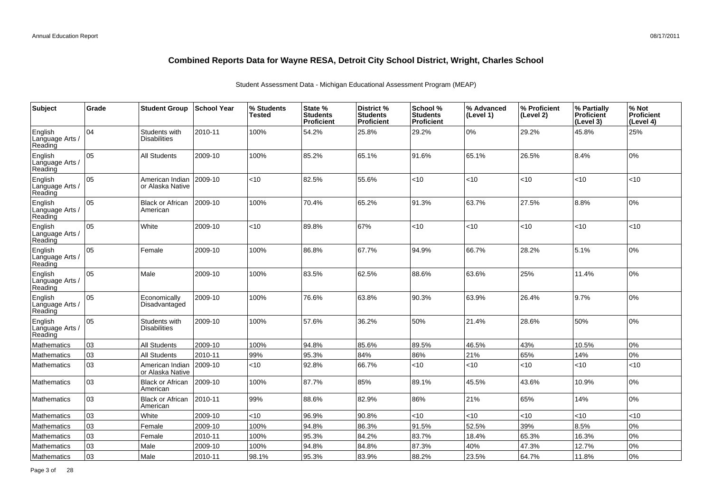| Subject                               | Grade | <b>Student Group</b>                 | <b>School Year</b> | % Students<br>Tested | State %<br><b>Students</b><br>Proficient | <b>District %</b><br><b>Students</b><br><b>Proficient</b> | School %<br><b>Students</b><br><b>Proficient</b> | % Advanced<br>(Level 1) | % Proficient<br>(Level 2) | % Partially<br><b>Proficient</b><br>(Level 3) | % Not<br>Proficient<br>(Level 4) |
|---------------------------------------|-------|--------------------------------------|--------------------|----------------------|------------------------------------------|-----------------------------------------------------------|--------------------------------------------------|-------------------------|---------------------------|-----------------------------------------------|----------------------------------|
| English<br>Language Arts /<br>Reading | 104   | Students with<br><b>Disabilities</b> | 2010-11            | 100%                 | 54.2%                                    | 25.8%                                                     | 29.2%                                            | 0%                      | 29.2%                     | 45.8%                                         | 25%                              |
| English<br>Language Arts /<br>Reading | 05    | <b>All Students</b>                  | 2009-10            | 100%                 | 85.2%                                    | 65.1%                                                     | 91.6%                                            | 65.1%                   | 26.5%                     | 8.4%                                          | 0%                               |
| English<br>Language Arts /<br>Reading | 05    | American Indian<br>or Alaska Native  | 2009-10            | $<$ 10               | 82.5%                                    | 55.6%                                                     | < 10                                             | < 10                    | 10                        | <10                                           | <10                              |
| English<br>Language Arts /<br>Reading | 05    | <b>Black or African</b><br>American  | 2009-10            | 100%                 | 70.4%                                    | 65.2%                                                     | 91.3%                                            | 63.7%                   | 27.5%                     | 8.8%                                          | 10%                              |
| English<br>Language Arts /<br>Reading | 05    | White                                | 2009-10            | $<$ 10               | 89.8%                                    | 67%                                                       | $<$ 10                                           | < 10                    | <10                       | < 10                                          | <10                              |
| English<br>Language Arts /<br>Reading | 05    | Female                               | 2009-10            | 100%                 | 86.8%                                    | 67.7%                                                     | 94.9%                                            | 66.7%                   | 28.2%                     | 5.1%                                          | 0%                               |
| English<br>Language Arts /<br>Reading | 05    | Male                                 | 2009-10            | 100%                 | 83.5%                                    | 62.5%                                                     | 88.6%                                            | 63.6%                   | 25%                       | 11.4%                                         | 0%                               |
| English<br>Language Arts /<br>Reading | 05    | Economically<br>Disadvantaged        | 2009-10            | 100%                 | 76.6%                                    | 63.8%                                                     | 90.3%                                            | 63.9%                   | 26.4%                     | 9.7%                                          | 10%                              |
| English<br>Language Arts /<br>Reading | 05    | Students with<br>Disabilities        | 2009-10            | 100%                 | 57.6%                                    | 36.2%                                                     | 50%                                              | 21.4%                   | 28.6%                     | 50%                                           | 0%                               |
| Mathematics                           | 03    | <b>All Students</b>                  | 2009-10            | 100%                 | 94.8%                                    | 85.6%                                                     | 89.5%                                            | 46.5%                   | 43%                       | 10.5%                                         | 0%                               |
| <b>Mathematics</b>                    | 03    | All Students                         | 2010-11            | 99%                  | 95.3%                                    | 84%                                                       | 86%                                              | 21%                     | 65%                       | 14%                                           | 0%                               |
| Mathematics                           | 03    | American Indian<br>or Alaska Native  | 2009-10            | <10                  | 92.8%                                    | 66.7%                                                     | $<$ 10                                           | < 10                    | <10                       | < 10                                          | <10                              |
| Mathematics                           | 03    | <b>Black or African</b><br>American  | 2009-10            | 100%                 | 87.7%                                    | 85%                                                       | 89.1%                                            | 45.5%                   | 43.6%                     | 10.9%                                         | 0%                               |
| Mathematics                           | 03    | <b>Black or African</b><br>American  | 2010-11            | 99%                  | 88.6%                                    | 82.9%                                                     | 86%                                              | 21%                     | 65%                       | 14%                                           | 0%                               |
| Mathematics                           | 03    | White                                | 2009-10            | <10                  | 96.9%                                    | 90.8%                                                     | < 10                                             | < 10                    | <10                       | <10                                           | <10                              |
| Mathematics                           | 03    | Female                               | 2009-10            | 100%                 | 94.8%                                    | 86.3%                                                     | 91.5%                                            | 52.5%                   | 39%                       | 8.5%                                          | 0%                               |
| Mathematics                           | 03    | Female                               | 2010-11            | 100%                 | 95.3%                                    | 84.2%                                                     | 83.7%                                            | 18.4%                   | 65.3%                     | 16.3%                                         | 0%                               |
| Mathematics                           | 03    | Male                                 | 2009-10            | 100%                 | 94.8%                                    | 84.8%                                                     | 87.3%                                            | 40%                     | 47.3%                     | 12.7%                                         | 0%                               |
| Mathematics                           | 03    | Male                                 | 2010-11            | 98.1%                | 95.3%                                    | 83.9%                                                     | 88.2%                                            | 23.5%                   | 64.7%                     | 11.8%                                         | 0%                               |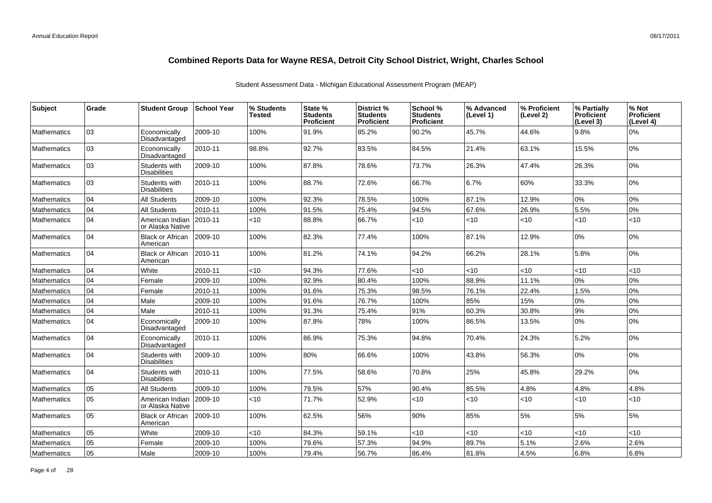| Subject            | Grade | <b>Student Group</b>                 | <b>School Year</b> | % Students<br><b>Tested</b> | State %<br><b>Students</b><br>Proficient | District %<br><b>Students</b><br><b>Proficient</b> | School %<br><b>Students</b><br><b>Proficient</b> | % Advanced<br>(Level 1) | % Proficient<br>(Level 2) | % Partially<br><b>Proficient</b><br>(Level 3) | % Not<br><b>Proficient</b><br>(Level 4) |
|--------------------|-------|--------------------------------------|--------------------|-----------------------------|------------------------------------------|----------------------------------------------------|--------------------------------------------------|-------------------------|---------------------------|-----------------------------------------------|-----------------------------------------|
| <b>Mathematics</b> | 03    | Economically<br>Disadvantaged        | 2009-10            | 100%                        | 91.9%                                    | 85.2%                                              | 90.2%                                            | 45.7%                   | 44.6%                     | 9.8%                                          | 0%                                      |
| <b>Mathematics</b> | 03    | Economically<br>Disadvantaged        | 2010-11            | 98.8%                       | 92.7%                                    | 83.5%                                              | 84.5%                                            | 21.4%                   | 63.1%                     | 15.5%                                         | 0%                                      |
| <b>Mathematics</b> | 03    | Students with<br><b>Disabilities</b> | 2009-10            | 100%                        | 87.8%                                    | 78.6%                                              | 73.7%                                            | 26.3%                   | 47.4%                     | 26.3%                                         | 0%                                      |
| Mathematics        | 03    | Students with<br><b>Disabilities</b> | 2010-11            | 100%                        | 88.7%                                    | 72.6%                                              | 66.7%                                            | 6.7%                    | 60%                       | 33.3%                                         | 0%                                      |
| <b>Mathematics</b> | 04    | <b>All Students</b>                  | 2009-10            | 100%                        | 92.3%                                    | 78.5%                                              | 100%                                             | 87.1%                   | 12.9%                     | 0%                                            | 0%                                      |
| <b>Mathematics</b> | 04    | <b>All Students</b>                  | 2010-11            | 100%                        | 91.5%                                    | 75.4%                                              | 94.5%                                            | 67.6%                   | 26.9%                     | 5.5%                                          | 0%                                      |
| <b>Mathematics</b> | 04    | American Indian<br>or Alaska Native  | 2010-11            | <10                         | 88.8%                                    | 66.7%                                              | $<$ 10                                           | < 10                    | < 10                      | < 10                                          | <10                                     |
| <b>Mathematics</b> | 04    | <b>Black or African</b><br>American  | 2009-10            | 100%                        | 82.3%                                    | 77.4%                                              | 100%                                             | 87.1%                   | 12.9%                     | 0%                                            | 0%                                      |
| <b>Mathematics</b> | 04    | <b>Black or African</b><br>American  | 2010-11            | 100%                        | 81.2%                                    | 74.1%                                              | 94.2%                                            | 66.2%                   | 28.1%                     | 5.8%                                          | 0%                                      |
| <b>Mathematics</b> | 04    | White                                | 2010-11            | <10                         | 94.3%                                    | 77.6%                                              | <10                                              | <10                     | <10                       | < 10                                          | <10                                     |
| <b>Mathematics</b> | 04    | Female                               | 2009-10            | 100%                        | 92.9%                                    | 80.4%                                              | 100%                                             | 88.9%                   | 11.1%                     | 0%                                            | 0%                                      |
| <b>Mathematics</b> | 04    | Female                               | 2010-11            | 100%                        | 91.6%                                    | 75.3%                                              | 98.5%                                            | 76.1%                   | 22.4%                     | 1.5%                                          | 0%                                      |
| Mathematics        | 04    | Male                                 | 2009-10            | 100%                        | 91.6%                                    | 76.7%                                              | 100%                                             | 85%                     | 15%                       | 0%                                            | 0%                                      |
| <b>Mathematics</b> | 04    | Male                                 | 2010-11            | 100%                        | 91.3%                                    | 75.4%                                              | 91%                                              | 60.3%                   | 30.8%                     | 9%                                            | 0%                                      |
| <b>Mathematics</b> | 04    | Economically<br>Disadvantaged        | 2009-10            | 100%                        | 87.8%                                    | 78%                                                | 100%                                             | 86.5%                   | 13.5%                     | 0%                                            | 0%                                      |
| <b>Mathematics</b> | 04    | Economically<br>Disadvantaged        | 2010-11            | 100%                        | 86.9%                                    | 75.3%                                              | 94.8%                                            | 70.4%                   | 24.3%                     | 5.2%                                          | 0%                                      |
| <b>Mathematics</b> | 04    | Students with<br><b>Disabilities</b> | 2009-10            | 100%                        | 80%                                      | 66.6%                                              | 100%                                             | 43.8%                   | 56.3%                     | 0%                                            | 0%                                      |
| <b>Mathematics</b> | 104   | Students with<br><b>Disabilities</b> | 2010-11            | 100%                        | 77.5%                                    | 58.6%                                              | 70.8%                                            | 25%                     | 45.8%                     | 29.2%                                         | 0%                                      |
| Mathematics        | 05    | <b>All Students</b>                  | 2009-10            | 100%                        | 79.5%                                    | 57%                                                | 90.4%                                            | 85.5%                   | 4.8%                      | 4.8%                                          | 4.8%                                    |
| <b>Mathematics</b> | 05    | American Indian<br>or Alaska Native  | 2009-10            | <10                         | 71.7%                                    | 52.9%                                              | $<$ 10                                           | < 10                    | <10                       | < 10                                          | <10                                     |
| <b>Mathematics</b> | 05    | <b>Black or African</b><br>American  | 2009-10            | 100%                        | 62.5%                                    | 56%                                                | 90%                                              | 85%                     | 5%                        | 5%                                            | 5%                                      |
| Mathematics        | 05    | White                                | 2009-10            | $<$ 10                      | 84.3%                                    | 59.1%                                              | $<$ 10                                           | < 10                    | <10                       | < 10                                          | <10                                     |
| <b>Mathematics</b> | 05    | Female                               | 2009-10            | 100%                        | 79.6%                                    | 57.3%                                              | 94.9%                                            | 89.7%                   | 5.1%                      | 2.6%                                          | 2.6%                                    |
| Mathematics        | lo5   | Male                                 | 2009-10            | 100%                        | 79.4%                                    | 56.7%                                              | 86.4%                                            | 81.8%                   | 4.5%                      | 6.8%                                          | 6.8%                                    |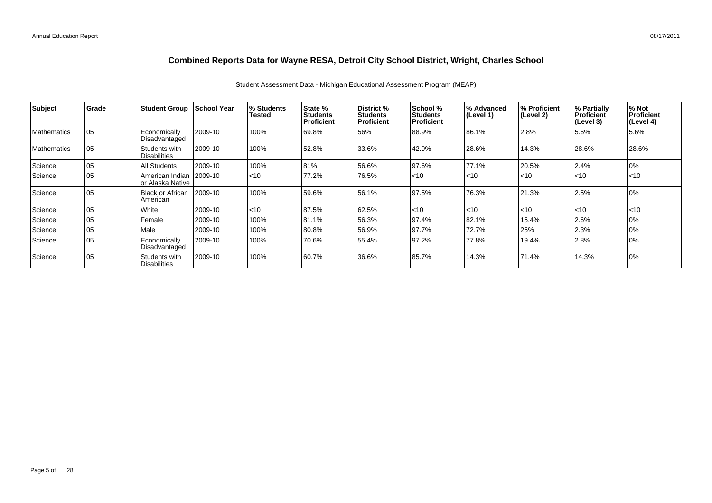| Subject            | Grade | <b>Student Group</b>                 | School Year | % Students<br><b>Tested</b> | State %<br><b>Students</b><br>Proficient | District %<br>Students<br><b>Proficient</b> | School %<br><b>Students</b><br><b>Proficient</b> | I% Advanced<br>(Level 1) | % Proficient<br>(Level 2) | % Partially<br><b>Proficient</b><br>(Level 3) | % Not<br>Proficient<br>(Level 4) |
|--------------------|-------|--------------------------------------|-------------|-----------------------------|------------------------------------------|---------------------------------------------|--------------------------------------------------|--------------------------|---------------------------|-----------------------------------------------|----------------------------------|
| <b>Mathematics</b> | 05    | Economically<br>Disadvantaged        | 2009-10     | 100%                        | 69.8%                                    | 56%                                         | 88.9%                                            | 86.1%                    | 2.8%                      | 5.6%                                          | 5.6%                             |
| <b>Mathematics</b> | 05    | Students with<br><b>Disabilities</b> | 2009-10     | 100%                        | 52.8%                                    | 33.6%                                       | 42.9%                                            | 28.6%                    | 14.3%                     | 28.6%                                         | 28.6%                            |
| Science            | 05    | All Students                         | 2009-10     | 100%                        | 81%                                      | 56.6%                                       | 97.6%                                            | 77.1%                    | 20.5%                     | 2.4%                                          | 0%                               |
| Science            | 05    | American Indian<br>or Alaska Native  | 2009-10     | $ $ < 10                    | 77.2%                                    | 76.5%                                       | $<$ 10                                           | $<$ 10                   | $<$ 10                    | < 10                                          | $ $ < 10                         |
| Science            | 05    | <b>Black or African</b><br>American  | 2009-10     | 100%                        | 59.6%                                    | 56.1%                                       | 97.5%                                            | 76.3%                    | 21.3%                     | 2.5%                                          | 0%                               |
| Science            | 05    | White                                | 2009-10     | $ $ < 10                    | 87.5%                                    | 62.5%                                       | < 10                                             | $<$ 10                   | < 10                      | <10                                           | $ $ < 10                         |
| Science            | 05    | Female                               | 2009-10     | 100%                        | 81.1%                                    | 56.3%                                       | 97.4%                                            | 82.1%                    | 15.4%                     | 2.6%                                          | 0%                               |
| Science            | 05    | Male                                 | 2009-10     | 100%                        | 80.8%                                    | 56.9%                                       | 97.7%                                            | 72.7%                    | 25%                       | 2.3%                                          | 10%                              |
| Science            | 105   | Economically<br>Disadvantaged        | 2009-10     | 100%                        | 70.6%                                    | 55.4%                                       | 97.2%                                            | 77.8%                    | 19.4%                     | 2.8%                                          | 10%                              |
| Science            | 05    | Students with<br><b>Disabilities</b> | 2009-10     | 100%                        | 60.7%                                    | 36.6%                                       | 85.7%                                            | 14.3%                    | 71.4%                     | 14.3%                                         | 0%                               |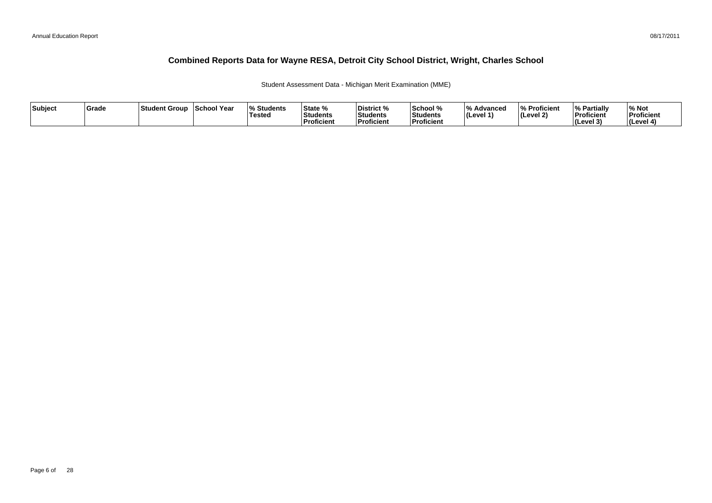Student Assessment Data - Michigan Merit Examination (MME)

| Subject | Grade | ⊺Student Group | School Year | <b>Students</b><br><b>Tested</b> | State %<br>Students<br>∣Proficient | District %<br><b>Students</b><br><b>Proficient</b> | School %<br>Students<br><b>Proficien</b> | 1 O /<br>Advanced<br>$ $ (Level 1) | % Proficient<br>$ $ (Level 2) | <sup>1</sup> % Partially<br>Proficient<br>$ $ (Level 3) | % Not<br>Proficient<br>(Level 4) |
|---------|-------|----------------|-------------|----------------------------------|------------------------------------|----------------------------------------------------|------------------------------------------|------------------------------------|-------------------------------|---------------------------------------------------------|----------------------------------|
|---------|-------|----------------|-------------|----------------------------------|------------------------------------|----------------------------------------------------|------------------------------------------|------------------------------------|-------------------------------|---------------------------------------------------------|----------------------------------|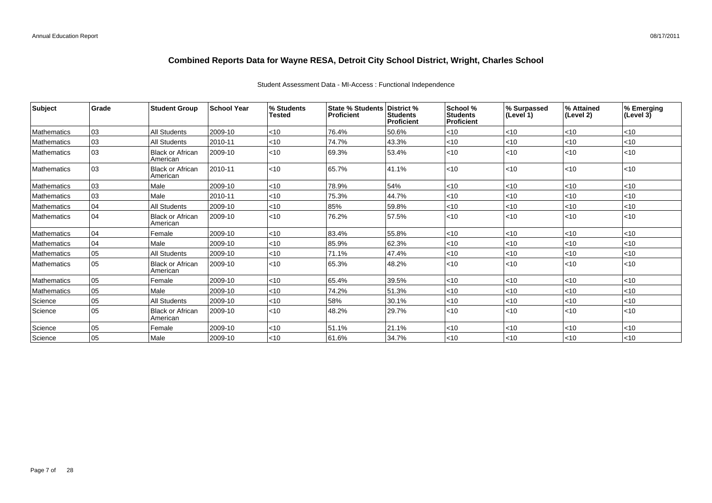### Student Assessment Data - MI-Access : Functional Independence

| <b>Subject</b>     | Grade | <b>Student Group</b>                | <b>School Year</b> | % Students<br><b>Tested</b> | State % Students District %<br><b>Proficient</b> | Students<br>Proficient | School %<br><b>Students</b><br><b>Proficient</b> | % Surpassed<br>(Level 1) | % Attained<br>(Level 2) | % Emerging<br>$(\text{Level } 3)$ |
|--------------------|-------|-------------------------------------|--------------------|-----------------------------|--------------------------------------------------|------------------------|--------------------------------------------------|--------------------------|-------------------------|-----------------------------------|
| <b>Mathematics</b> | 03    | All Students                        | 2009-10            | < 10                        | 76.4%                                            | 50.6%                  | < 10                                             | $<$ 10                   | <10                     | $<$ 10                            |
| <b>Mathematics</b> | 03    | All Students                        | 2010-11            | $<$ 10                      | 74.7%                                            | 43.3%                  | < 10                                             | $<$ 10                   | $ $ < 10                | $<$ 10                            |
| <b>Mathematics</b> | 03    | <b>Black or African</b><br>American | 2009-10            | < 10                        | 69.3%                                            | 53.4%                  | < 10                                             | $<$ 10                   | $ $ < 10                | $ $ < 10                          |
| <b>Mathematics</b> | 03    | <b>Black or African</b><br>American | 2010-11            | < 10                        | 65.7%                                            | 41.1%                  | < 10                                             | <10                      | $ $ < 10                | $ $ < 10                          |
| <b>Mathematics</b> | 03    | Male                                | 2009-10            | < 10                        | 78.9%                                            | 54%                    | < 10                                             | $<$ 10                   | < 10                    | $<$ 10                            |
| <b>Mathematics</b> | 03    | Male                                | 2010-11            | $<$ 10                      | 75.3%                                            | 44.7%                  | $<$ 10                                           | $<$ 10                   | $ $ < 10                | $<$ 10                            |
| <b>Mathematics</b> | 04    | All Students                        | 2009-10            | < 10                        | 85%                                              | 59.8%                  | < 10                                             | $<$ 10                   | $ $ < 10                | $ $ < 10                          |
| <b>Mathematics</b> | 04    | <b>Black or African</b><br>American | 2009-10            | < 10                        | 76.2%                                            | 57.5%                  | < 10                                             | $<$ 10                   | < 10                    | $ $ < 10                          |
| <b>Mathematics</b> | 04    | Female                              | 2009-10            | < 10                        | 83.4%                                            | 55.8%                  | < 10                                             | $<$ 10                   | <10                     | $<$ 10                            |
| <b>Mathematics</b> | 04    | Male                                | 2009-10            | $<$ 10                      | 85.9%                                            | 62.3%                  | < 10                                             | $<$ 10                   | <10                     | $<$ 10                            |
| <b>Mathematics</b> | 05    | <b>All Students</b>                 | 2009-10            | $<$ 10                      | 71.1%                                            | 47.4%                  | < 10                                             | $<$ 10                   | <10                     | $<$ 10                            |
| <b>Mathematics</b> | 05    | <b>Black or African</b><br>American | 2009-10            | < 10                        | 65.3%                                            | 48.2%                  | < 10                                             | $<$ 10                   | $ $ < 10                | $ $ < 10                          |
| Mathematics        | 05    | Female                              | 2009-10            | < 10                        | 65.4%                                            | 39.5%                  | < 10                                             | <10                      | $ $ < 10                | $ $ < 10                          |
| <b>Mathematics</b> | 05    | Male                                | 2009-10            | < 10                        | 74.2%                                            | 51.3%                  | < 10                                             | $<$ 10                   | < 10                    | $<$ 10                            |
| Science            | 05    | All Students                        | 2009-10            | $<$ 10                      | 58%                                              | 30.1%                  | < 10                                             | $<$ 10                   | <10                     | $<$ 10                            |
| Science            | 05    | <b>Black or African</b><br>American | 2009-10            | < 10                        | 48.2%                                            | 29.7%                  | < 10                                             | $<$ 10                   | < 10                    | $ $ <10                           |
| Science            | 05    | Female                              | 2009-10            | $<$ 10                      | 51.1%                                            | 21.1%                  | < 10                                             | $<$ 10                   | $ $ < 10                | $ $ < 10                          |
| Science            | 05    | Male                                | 2009-10            | < 10                        | 61.6%                                            | 34.7%                  | < 10                                             | $<$ 10                   | < 10                    | $ $ < 10                          |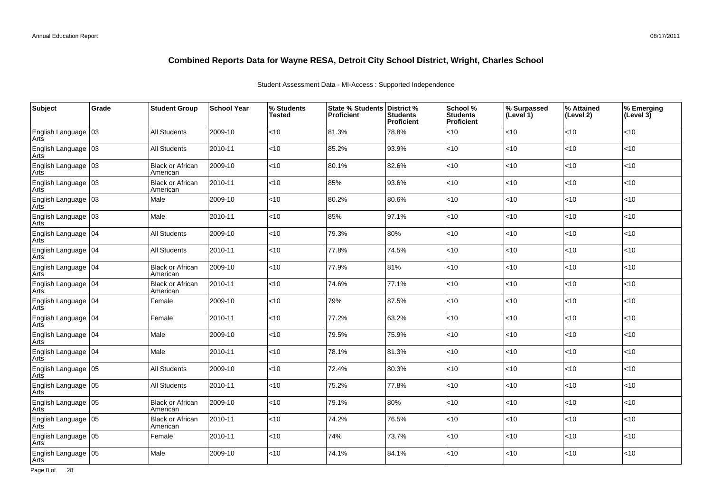### Student Assessment Data - MI-Access : Supported Independence

| <b>Subject</b>                | Grade | <b>Student Group</b>                | <b>School Year</b> | % Students<br>Tested | State % Students District %<br><b>Proficient</b> | <b>Students</b><br>Proficient | School %<br><b>Students</b><br>Proficient | % Surpassed<br>(Level 1) | % Attained<br>(Level 2) | % Emerging<br>(Level 3) |
|-------------------------------|-------|-------------------------------------|--------------------|----------------------|--------------------------------------------------|-------------------------------|-------------------------------------------|--------------------------|-------------------------|-------------------------|
| English Language 03<br>Arts   |       | <b>All Students</b>                 | 2009-10            | $<$ 10               | 81.3%                                            | 78.8%                         | <10                                       | <10                      | <10                     | $<$ 10                  |
| English Language 03<br>Arts   |       | <b>All Students</b>                 | 2010-11            | $<10$                | 85.2%                                            | 93.9%                         | <10                                       | <10                      | < 10                    | < 10                    |
| English Language 03<br>Arts   |       | <b>Black or African</b><br>American | 2009-10            | <10                  | 80.1%                                            | 82.6%                         | <10                                       | <10                      | < 10                    | < 10                    |
| English Language 03<br>Arts   |       | <b>Black or African</b><br>American | 2010-11            | <10                  | 85%                                              | 93.6%                         | <10                                       | <10                      | <10                     | $<10$                   |
| English Language   03<br>Arts |       | Male                                | 2009-10            | $<$ 10               | 80.2%                                            | 80.6%                         | <10                                       | < 10                     | <10                     | $<$ 10                  |
| English Language   03<br>Arts |       | Male                                | 2010-11            | <10                  | 85%                                              | 97.1%                         | <10                                       | <10                      | <10                     | $<10$                   |
| English Language 04<br>Arts   |       | All Students                        | 2009-10            | <10                  | 79.3%                                            | 80%                           | <10                                       | <10                      | <10                     | < 10                    |
| English Language 04<br>Arts   |       | <b>All Students</b>                 | 2010-11            | <10                  | 77.8%                                            | 74.5%                         | <10                                       | <10                      | <10                     | $<10$                   |
| English Language 04<br>Arts   |       | <b>Black or African</b><br>American | 2009-10            | $<$ 10               | 77.9%                                            | 81%                           | <10                                       | <10                      | < 10                    | < 10                    |
| English Language 04<br>Arts   |       | <b>Black or African</b><br>American | 2010-11            | $<$ 10               | 74.6%                                            | 77.1%                         | <10                                       | <10                      | <10                     | $<10$                   |
| English Language   04<br>Arts |       | Female                              | 2009-10            | $<$ 10               | 79%                                              | 87.5%                         | <10                                       | <10                      | < 10                    | $<10$                   |
| English Language   04<br>Arts |       | Female                              | 2010-11            | $<$ 10               | 77.2%                                            | 63.2%                         | <10                                       | <10                      | <10                     | $<$ 10                  |
| English Language 04<br>Arts   |       | Male                                | 2009-10            | $<$ 10               | 79.5%                                            | 75.9%                         | <10                                       | <10                      | < 10                    | < 10                    |
| English Language 04<br>Arts   |       | Male                                | 2010-11            | $<$ 10               | 78.1%                                            | 81.3%                         | <10                                       | <10                      | < 10                    | < 10                    |
| English Language 05<br>Arts   |       | <b>All Students</b>                 | 2009-10            | $<10$                | 72.4%                                            | 80.3%                         | <10                                       | <10                      | < 10                    | $<10$                   |
| English Language 05<br>Arts   |       | All Students                        | 2010-11            | $<$ 10               | 75.2%                                            | 77.8%                         | <10                                       | <10                      | $<$ 10                  | $<$ 10                  |
| English Language 05<br>Arts   |       | <b>Black or African</b><br>American | 2009-10            | $<10$                | 79.1%                                            | 80%                           | <10                                       | <10                      | <10                     | $<10$                   |
| English Language   05<br>Arts |       | <b>Black or African</b><br>American | 2010-11            | $<$ 10               | 74.2%                                            | 76.5%                         | <10                                       | < 10                     | <10                     | $<$ 10                  |
| English Language   05<br>Arts |       | Female                              | 2010-11            | $<$ 10               | 74%                                              | 73.7%                         | <10                                       | < 10                     | $<$ 10                  | $<$ 10                  |
| English Language   05<br>Arts |       | Male                                | 2009-10            | $<$ 10               | 74.1%                                            | 84.1%                         | $<$ 10                                    | <10                      | <10                     | $<$ 10                  |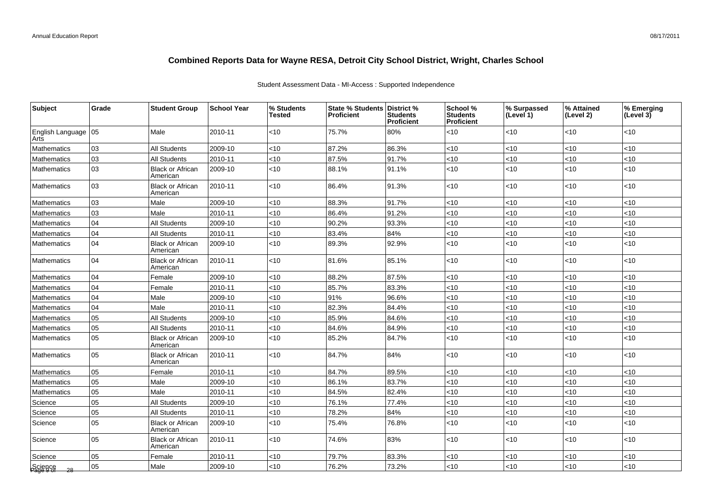### Student Assessment Data - MI-Access : Supported Independence

| Subject                       | Grade | <b>Student Group</b>                | <b>School Year</b> | % Students<br>Tested | <b>State % Students</b><br><b>Proficient</b> | District %<br><b>Students</b><br>Proficient | School %<br><b>Students</b><br>Proficient | % Surpassed<br>(Level 1) | % Attained<br>(Level 2) | % Emerging<br>(Level 3) |
|-------------------------------|-------|-------------------------------------|--------------------|----------------------|----------------------------------------------|---------------------------------------------|-------------------------------------------|--------------------------|-------------------------|-------------------------|
| English Language 05<br>Arts   |       | Male                                | 2010-11            | <10                  | 75.7%                                        | 80%                                         | <10                                       | <10                      | <10                     | $<$ 10                  |
| Mathematics                   | 03    | <b>All Students</b>                 | 2009-10            | <10                  | 87.2%                                        | 86.3%                                       | $<$ 10                                    | < 10                     | <10                     | <10                     |
| Mathematics                   | 03    | <b>All Students</b>                 | 2010-11            | <10                  | 87.5%                                        | 91.7%                                       | <10                                       | < 10                     | 10                      | <10                     |
| Mathematics                   | 03    | Black or African<br>American        | 2009-10            | <10                  | 88.1%                                        | 91.1%                                       | < 10                                      | < 10                     | <10                     | < 10                    |
| Mathematics                   | 03    | <b>Black or African</b><br>American | 2010-11            | <10                  | 86.4%                                        | 91.3%                                       | < 10                                      | <10                      | <10                     | <10                     |
| Mathematics                   | 03    | Male                                | 2009-10            | <10                  | 88.3%                                        | 91.7%                                       | $<$ 10                                    | <10                      | <10                     | <10                     |
| Mathematics                   | 03    | Male                                | 2010-11            | <10                  | 86.4%                                        | 91.2%                                       | < 10                                      | <10                      | $<$ 10                  | <10                     |
| Mathematics                   | 04    | <b>All Students</b>                 | 2009-10            | <10                  | 90.2%                                        | 93.3%                                       | < 10                                      | <10                      | <10                     | < 10                    |
| Mathematics                   | 04    | <b>All Students</b>                 | 2010-11            | <10                  | 83.4%                                        | 84%                                         | < 10                                      | <10                      | <10                     | <10                     |
| Mathematics                   | 04    | <b>Black or African</b><br>American | 2009-10            | <10                  | 89.3%                                        | 92.9%                                       | < 10                                      | <10                      | <10                     | < 10                    |
| <b>Mathematics</b>            | 04    | Black or African<br>American        | 2010-11            | <10                  | 81.6%                                        | 85.1%                                       | < 10                                      | <10                      | <10                     | < 10                    |
| Mathematics                   | 04    | Female                              | 2009-10            | <10                  | 88.2%                                        | 87.5%                                       | <10                                       | <10                      | <10                     | $<$ 10                  |
| Mathematics                   | 04    | Female                              | 2010-11            | <10                  | 85.7%                                        | 83.3%                                       | $<$ 10                                    | <10                      | <10                     | < 10                    |
| Mathematics                   | 04    | Male                                | 2009-10            | <10                  | 91%                                          | 96.6%                                       | $<$ 10                                    | < 10                     | <10                     | $<$ 10                  |
| Mathematics                   | 04    | Male                                | 2010-11            | <10                  | 82.3%                                        | 84.4%                                       | < 10                                      | <10                      | <10                     | < 10                    |
| Mathematics                   | 05    | <b>All Students</b>                 | 2009-10            | <10                  | 85.9%                                        | 84.6%                                       | $<$ 10                                    | < 10                     | <10                     | $<$ 10                  |
| Mathematics                   | 05    | All Students                        | 2010-11            | <10                  | 84.6%                                        | 84.9%                                       | <10                                       | <10                      | <10                     | <10                     |
| Mathematics                   | 05    | Black or African<br>American        | 2009-10            | <10                  | 85.2%                                        | 84.7%                                       | < 10                                      | < 10                     | <10                     | < 10                    |
| <b>Mathematics</b>            | 05    | <b>Black or African</b><br>American | 2010-11            | $<$ 10               | 84.7%                                        | 84%                                         | < 10                                      | < 10                     | <10                     | $<$ 10                  |
| Mathematics                   | 05    | Female                              | 2010-11            | <10                  | 84.7%                                        | 89.5%                                       | <10                                       | <10                      | <10                     | < 10                    |
| Mathematics                   | 05    | Male                                | 2009-10            | <10                  | 86.1%                                        | 83.7%                                       | <10                                       | <10                      | <10                     | <10                     |
| Mathematics                   | 05    | Male                                | 2010-11            | <10                  | 84.5%                                        | 82.4%                                       | < 10                                      | <10                      | <10                     | < 10                    |
| Science                       | 05    | <b>All Students</b>                 | 2009-10            | <10                  | 76.1%                                        | 77.4%                                       | $<$ 10                                    | <10                      | <10                     | <10                     |
| Science                       | 05    | All Students                        | 2010-11            | <10                  | 78.2%                                        | 84%                                         | < 10                                      | <10                      | $<$ 10                  | <10                     |
| Science                       | 05    | <b>Black or African</b><br>American | 2009-10            | <10                  | 75.4%                                        | 76.8%                                       | < 10                                      | <10                      | <10                     | < 10                    |
| Science                       | 05    | <b>Black or African</b><br>American | 2010-11            | <10                  | 74.6%                                        | 83%                                         | $<$ 10                                    | <10                      | $<$ 10                  | < 10                    |
| Science                       | 05    | Female                              | 2010-11            | <10                  | 79.7%                                        | 83.3%                                       | < 10                                      | < 10                     | <10                     | $<$ 10                  |
| Science<br>Page 9 of<br>$-28$ | 05    | Male                                | 2009-10            | <10                  | 76.2%                                        | 73.2%                                       | < 10                                      | <10                      | <10                     | < 10                    |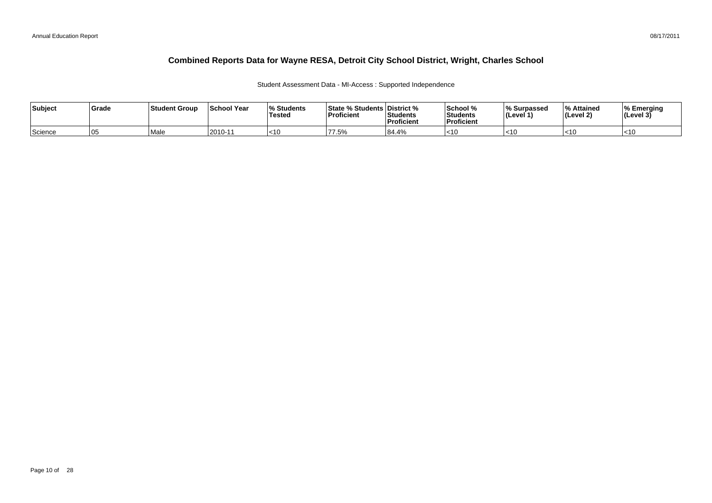### Student Assessment Data - MI-Access : Supported Independence

| Subject<br>Grade | <b>Student Group</b> | ∣School Year | <b>Students</b><br>Tested | State % Students District %<br>Proficient | Students<br>Proficient | School %<br>l Students<br><b>Proficient</b> | <sup>1</sup> % Surpasseg<br>⊺(Level ∶ | <b>S</b> Attained<br>(Level 2) | % Emerging<br>$ $ (Level 3) |
|------------------|----------------------|--------------|---------------------------|-------------------------------------------|------------------------|---------------------------------------------|---------------------------------------|--------------------------------|-----------------------------|
| Science<br>105   | <sup>!</sup> Mal     | l2010-11     | l<10                      | 77.5%                                     | 84.4%                  | $-12$                                       | $<$ 10                                | $<$ 10                         | $<$ 10                      |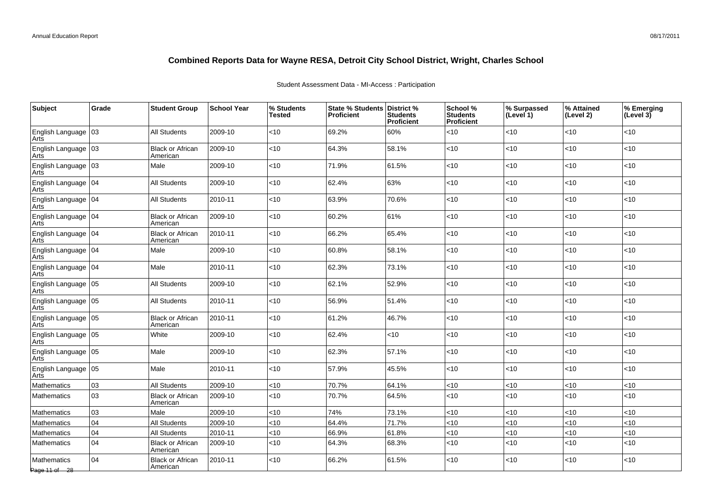| <b>Subject</b>                  | Grade | <b>Student Group</b>                | <b>School Year</b> | % Students<br>Tested | State % Students District %<br><b>Proficient</b> | <b>Students</b><br>Proficient | School %<br><b>Students</b><br>Proficient | % Surpassed<br>(Level 1) | % Attained<br>(Level 2) | % Emerging<br>$ $ (Level 3) |
|---------------------------------|-------|-------------------------------------|--------------------|----------------------|--------------------------------------------------|-------------------------------|-------------------------------------------|--------------------------|-------------------------|-----------------------------|
| English Language 03             |       | <b>All Students</b>                 | 2009-10            | $<$ 10               | 69.2%                                            | 60%                           | <10                                       | <10                      | <10                     | <10                         |
| English Language 03<br>Arts     |       | <b>Black or African</b><br>American | 2009-10            | <10                  | 64.3%                                            | 58.1%                         | <10                                       | <10                      | <10                     | < 10                        |
| English Language 03<br>Arts     |       | Male                                | 2009-10            | $<10$                | 71.9%                                            | 61.5%                         | <10                                       | <10                      | < 10                    | < 10                        |
| English Language 04<br>Arts     |       | All Students                        | 2009-10            | $<$ 10               | 62.4%                                            | 63%                           | <10                                       | <10                      | < 10                    | < 10                        |
| English Language 04<br>Arts     |       | <b>All Students</b>                 | 2010-11            | $<$ 10               | 63.9%                                            | 70.6%                         | <10                                       | <10                      | < 10                    | < 10                        |
| English Language 04<br>Arts     |       | <b>Black or African</b><br>American | 2009-10            | <10                  | 60.2%                                            | 61%                           | <10                                       | <10                      | <10                     | <10                         |
| English Language   04<br>Arts   |       | <b>Black or African</b><br>American | 2010-11            | $<$ 10               | 66.2%                                            | 65.4%                         | $<$ 10                                    | < 10                     | <10                     | < 10                        |
| English Language   04<br>Arts   |       | Male                                | 2009-10            | $<$ 10               | 60.8%                                            | 58.1%                         | <10                                       | <10                      | < 10                    | $<$ 10                      |
| English Language   04<br>Arts   |       | Male                                | 2010-11            | $<$ 10               | 62.3%                                            | 73.1%                         | <10                                       | <10                      | $<$ 10                  | $<$ 10                      |
| English Language 05<br>Arts     |       | <b>All Students</b>                 | 2009-10            | <10                  | 62.1%                                            | 52.9%                         | <10                                       | <10                      | $<$ 10                  | $<10$                       |
| English Language   05<br>Arts   |       | <b>All Students</b>                 | 2010-11            | $<$ 10               | 56.9%                                            | 51.4%                         | <10                                       | < 10                     | <10                     | $<$ 10                      |
| English Language 05<br>Arts     |       | <b>Black or African</b><br>American | 2010-11            | $<$ 10               | 61.2%                                            | 46.7%                         | <10                                       | <10                      | <10                     | < 10                        |
| English Language   05<br>Arts   |       | White                               | 2009-10            | $<$ 10               | 62.4%                                            | <10                           | <10                                       | <10                      | < 10                    | < 10                        |
| English Language 05<br>Arts     |       | Male                                | 2009-10            | $<$ 10               | 62.3%                                            | 57.1%                         | <10                                       | <10                      | $<$ 10                  | <10                         |
| English Language 05<br>Arts     |       | Male                                | 2010-11            | < 10                 | 57.9%                                            | 45.5%                         | <10                                       | <10                      | <10                     | < 10                        |
| Mathematics                     | 03    | <b>All Students</b>                 | 2009-10            | <10                  | 70.7%                                            | 64.1%                         | <10                                       | <10                      | <10                     | <10                         |
| <b>Mathematics</b>              | 03    | <b>Black or African</b><br>American | 2009-10            | $<$ 10               | 70.7%                                            | 64.5%                         | <10                                       | < 10                     | <10                     | < 10                        |
| Mathematics                     | 03    | Male                                | 2009-10            | $<10$                | 74%                                              | 73.1%                         | <10                                       | <10                      | <10                     | < 10                        |
| Mathematics                     | 04    | <b>All Students</b>                 | 2009-10            | <10                  | 64.4%                                            | 71.7%                         | <10                                       | <10                      | <10                     | <10                         |
| Mathematics                     | 04    | All Students                        | 2010-11            | $<$ 10               | 66.9%                                            | 61.8%                         | <10                                       | <10                      | $<$ 10                  | $<10$                       |
| Mathematics                     | 04    | <b>Black or African</b><br>American | 2009-10            | <10                  | 64.3%                                            | 68.3%                         | <10                                       | <10                      | <10                     | < 10                        |
| Mathematics<br>Page 11 of $-28$ | 04    | <b>Black or African</b><br>American | 2010-11            | <10                  | 66.2%                                            | 61.5%                         | <10                                       | <10                      | < 10                    | <10                         |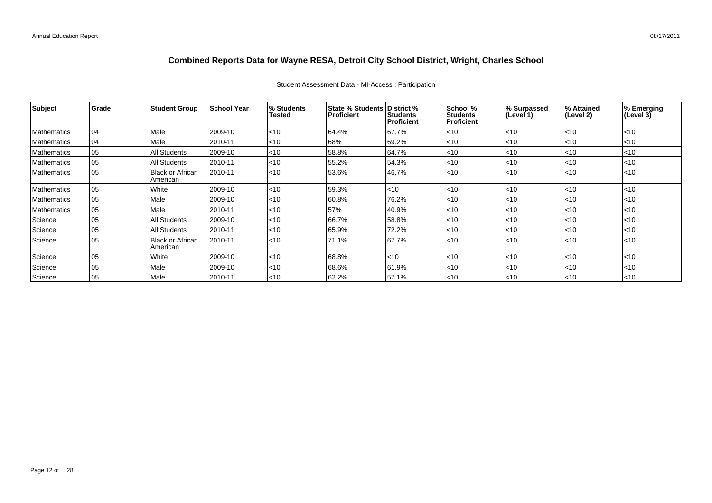| Subject            | Grade | <b>Student Group</b>                | <b>School Year</b> | % Students<br>Tested | State % Students   District %<br><b>Proficient</b> | <b>Students</b><br>  Proficient | School %<br><b>Students</b><br>Proficient | % Surpassed<br>(Level 1) | % Attained<br>(Level 2) | % Emerging<br>(Level 3) |
|--------------------|-------|-------------------------------------|--------------------|----------------------|----------------------------------------------------|---------------------------------|-------------------------------------------|--------------------------|-------------------------|-------------------------|
| Mathematics        | 04    | Male                                | 2009-10            | < 10                 | 64.4%                                              | 67.7%                           | $<$ 10                                    | $<$ 10                   | $ $ < 10                | $<$ 10                  |
| Mathematics        | 04    | Male                                | 2010-11            | $ $ < 10             | 68%                                                | 69.2%                           | $ $ < 10                                  | < 10                     | $ $ < 10                | $<$ 10                  |
| <b>Mathematics</b> | 05    | All Students                        | 2009-10            | $ $ < 10             | 58.8%                                              | 64.7%                           | $<$ 10                                    | $ $ < 10                 | $ $ < 10                | $<$ 10                  |
| Mathematics        | 05    | <b>All Students</b>                 | 2010-11            | $ $ < 10             | 55.2%                                              | 54.3%                           | $<$ 10                                    | $ $ < 10                 | <10                     | $<$ 10                  |
| <b>Mathematics</b> | 05    | <b>Black or African</b><br>American | 2010-11            | $ $ < 10             | 53.6%                                              | 46.7%                           | < 10                                      | < 10                     | $ $ < 10                | < 10                    |
| Mathematics        | 05    | White                               | 2009-10            | < 10                 | 59.3%                                              | $<$ 10                          | $<$ 10                                    | $ $ < 10                 | $ $ < 10                | $<$ 10                  |
| Mathematics        | 05    | Male                                | 2009-10            | $ $ < 10             | 60.8%                                              | 76.2%                           | $<$ 10                                    | $ $ < 10                 | <10                     | $<$ 10                  |
| Mathematics        | 05    | Male                                | 2010-11            | $ $ < 10             | 57%                                                | 40.9%                           | $ $ < 10                                  | $<$ 10                   | <10                     | $<$ 10                  |
| Science            | 05    | <b>All Students</b>                 | 2009-10            | < 10                 | 66.7%                                              | 58.8%                           | < 10                                      | $ $ < 10                 | $<$ 10                  | $<$ 10                  |
| Science            | 05    | <b>All Students</b>                 | 2010-11            | $ $ < 10             | 65.9%                                              | 72.2%                           | $<$ 10                                    | $ $ < 10                 | <10                     | $<$ 10                  |
| Science            | 05    | <b>Black or African</b><br>American | 2010-11            | < 10                 | 71.1%                                              | 67.7%                           | < 10                                      | $ $ < 10                 | $ $ < 10                | < 10                    |
| Science            | 05    | White                               | 2009-10            | $ $ < 10             | 68.8%                                              | $<$ 10                          | $<$ 10                                    | $ $ < 10                 | <10                     | $<$ 10                  |
| Science            | 05    | Male                                | 2009-10            | $ $ < 10             | 68.6%                                              | 61.9%                           | $ $ < 10                                  | $<$ 10                   | <10                     | $<$ 10                  |
| Science            | 05    | Male                                | 2010-11            | < 10                 | 62.2%                                              | 57.1%                           | $ $ < 10                                  | $ $ < 10                 | $ $ < 10                | $<$ 10                  |

### Student Assessment Data - MI-Access : Participation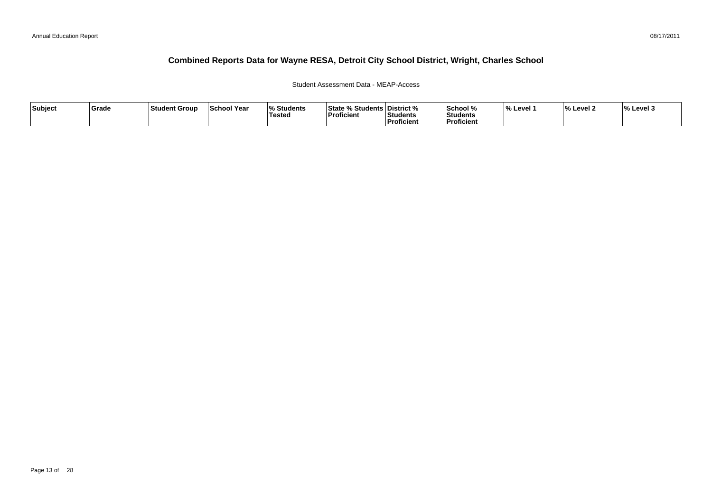### Student Assessment Data - MEAP-Access

| Subject | Grade | Student Group | <b>School Year</b> | <b>Students</b><br><b>Tested</b> | <b>State % Students District %</b><br>Proficient | <b>Students</b><br><b>Proficient</b> | <b>School</b> %<br>Students<br>Proficient | Level | $\mathbf{0}$<br>% Level 2 | <b>M</b> Level 3 |
|---------|-------|---------------|--------------------|----------------------------------|--------------------------------------------------|--------------------------------------|-------------------------------------------|-------|---------------------------|------------------|
|         |       |               |                    |                                  |                                                  |                                      |                                           |       |                           |                  |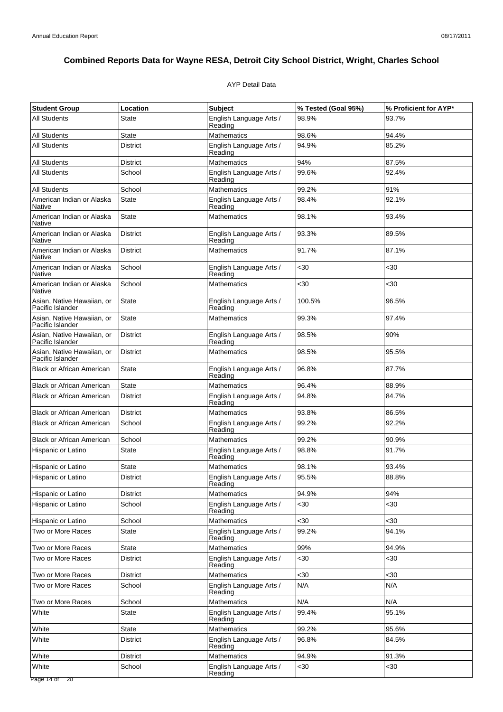### AYP Detail Data

| <b>Student Group</b>                           | Location        | <b>Subject</b>                     | % Tested (Goal 95%) | % Proficient for AYP* |
|------------------------------------------------|-----------------|------------------------------------|---------------------|-----------------------|
| <b>All Students</b>                            | State           | English Language Arts /<br>Reading | 98.9%               | 93.7%                 |
| <b>All Students</b>                            | <b>State</b>    | <b>Mathematics</b>                 | 98.6%               | 94.4%                 |
| <b>All Students</b>                            | <b>District</b> | English Language Arts /<br>Reading | 94.9%               | 85.2%                 |
| <b>All Students</b>                            | <b>District</b> | <b>Mathematics</b>                 | 94%                 | 87.5%                 |
| <b>All Students</b>                            | School          | English Language Arts /<br>Reading | 99.6%               | 92.4%                 |
| All Students                                   | School          | Mathematics                        | 99.2%               | 91%                   |
| American Indian or Alaska<br>Native            | <b>State</b>    | English Language Arts /<br>Reading | 98.4%               | 92.1%                 |
| American Indian or Alaska<br>Native            | <b>State</b>    | <b>Mathematics</b>                 | 98.1%               | 93.4%                 |
| American Indian or Alaska<br>Native            | <b>District</b> | English Language Arts /<br>Reading | 93.3%               | 89.5%                 |
| American Indian or Alaska<br><b>Native</b>     | District        | Mathematics                        | 91.7%               | 87.1%                 |
| American Indian or Alaska<br>Native            | School          | English Language Arts /<br>Reading | $30$                | $30$                  |
| American Indian or Alaska<br>Native            | School          | <b>Mathematics</b>                 | $30$                | $30$                  |
| Asian, Native Hawaiian, or<br>Pacific Islander | <b>State</b>    | English Language Arts /<br>Reading | 100.5%              | 96.5%                 |
| Asian, Native Hawaiian, or<br>Pacific Islander | <b>State</b>    | <b>Mathematics</b>                 | 99.3%               | 97.4%                 |
| Asian, Native Hawaiian, or<br>Pacific Islander | <b>District</b> | English Language Arts /<br>Reading | 98.5%               | 90%                   |
| Asian, Native Hawaiian, or<br>Pacific Islander | <b>District</b> | Mathematics                        | 98.5%               | 95.5%                 |
| <b>Black or African American</b>               | <b>State</b>    | English Language Arts /<br>Reading | 96.8%               | 87.7%                 |
| Black or African American                      | <b>State</b>    | <b>Mathematics</b>                 | 96.4%               | 88.9%                 |
| <b>Black or African American</b>               | <b>District</b> | English Language Arts /<br>Reading | 94.8%               | 84.7%                 |
| <b>Black or African American</b>               | District        | <b>Mathematics</b>                 | 93.8%               | 86.5%                 |
| <b>Black or African American</b>               | School          | English Language Arts /<br>Reading | 99.2%               | 92.2%                 |
| <b>Black or African American</b>               | School          | <b>Mathematics</b>                 | 99.2%               | 90.9%                 |
| Hispanic or Latino                             | <b>State</b>    | English Language Arts /<br>Reading | 98.8%               | 91.7%                 |
| Hispanic or Latino                             | State           | <b>Mathematics</b>                 | 98.1%               | 93.4%                 |
| Hispanic or Latino                             | <b>District</b> | English Language Arts /<br>Reading | 95.5%               | 88.8%                 |
| Hispanic or Latino                             | District        | <b>Mathematics</b>                 | 94.9%               | 94%                   |
| Hispanic or Latino                             | School          | English Language Arts /<br>Reading | <30                 | <30                   |
| Hispanic or Latino                             | School          | <b>Mathematics</b>                 | <30                 | <30                   |
| Two or More Races                              | State           | English Language Arts /<br>Reading | 99.2%               | 94.1%                 |
| Two or More Races                              | <b>State</b>    | Mathematics                        | 99%                 | 94.9%                 |
| Two or More Races                              | District        | English Language Arts /<br>Reading | <30                 | <30                   |
| Two or More Races                              | District        | <b>Mathematics</b>                 | <30                 | <30                   |
| Two or More Races                              | School          | English Language Arts /<br>Reading | N/A                 | N/A                   |
| Two or More Races                              | School          | <b>Mathematics</b>                 | N/A                 | N/A                   |
| White                                          | <b>State</b>    | English Language Arts /<br>Reading | 99.4%               | 95.1%                 |
| White                                          | <b>State</b>    | Mathematics                        | 99.2%               | 95.6%                 |
| White                                          | District        | English Language Arts /<br>Reading | 96.8%               | 84.5%                 |
| White                                          | District        | <b>Mathematics</b>                 | 94.9%               | 91.3%                 |
| White                                          | School          | English Language Arts /<br>Reading | $30$                | <30                   |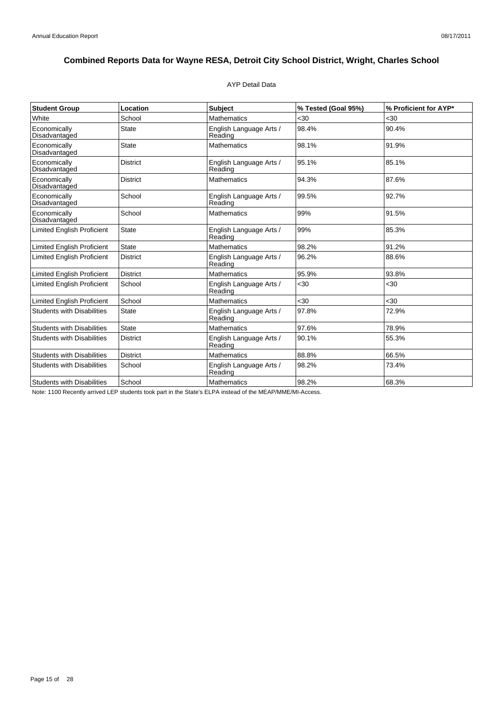### AYP Detail Data

| <b>Student Group</b>              | Location        | <b>Subject</b>                     | % Tested (Goal 95%) | % Proficient for AYP* |
|-----------------------------------|-----------------|------------------------------------|---------------------|-----------------------|
| White                             | School          | <b>Mathematics</b>                 | < 30                | $30$                  |
| Economically<br>Disadvantaged     | <b>State</b>    | English Language Arts /<br>Reading | 98.4%               | 90.4%                 |
| Economically<br>Disadvantaged     | State           | <b>Mathematics</b>                 | 98.1%               | 91.9%                 |
| Economically<br>Disadvantaged     | <b>District</b> | English Language Arts /<br>Reading | 95.1%               | 85.1%                 |
| Economically<br>Disadvantaged     | <b>District</b> | <b>Mathematics</b>                 | 94.3%               | 87.6%                 |
| Economically<br>Disadvantaged     | School          | English Language Arts /<br>Reading | 99.5%               | 92.7%                 |
| Economically<br>Disadvantaged     | School          | <b>Mathematics</b>                 | 99%                 | 91.5%                 |
| <b>Limited English Proficient</b> | <b>State</b>    | English Language Arts /<br>Reading | 99%                 | 85.3%                 |
| <b>Limited English Proficient</b> | <b>State</b>    | <b>Mathematics</b>                 | 98.2%               | 91.2%                 |
| <b>Limited English Proficient</b> | <b>District</b> | English Language Arts /<br>Reading | 96.2%               | 88.6%                 |
| <b>Limited English Proficient</b> | <b>District</b> | <b>Mathematics</b>                 | 95.9%               | 93.8%                 |
| <b>Limited English Proficient</b> | School          | English Language Arts /<br>Reading | <30                 | <30                   |
| <b>Limited English Proficient</b> | School          | <b>Mathematics</b>                 | <30                 | <30                   |
| <b>Students with Disabilities</b> | <b>State</b>    | English Language Arts /<br>Reading | 97.8%               | 72.9%                 |
| <b>Students with Disabilities</b> | <b>State</b>    | <b>Mathematics</b>                 | 97.6%               | 78.9%                 |
| <b>Students with Disabilities</b> | <b>District</b> | English Language Arts /<br>Reading | 90.1%               | 55.3%                 |
| <b>Students with Disabilities</b> | <b>District</b> | <b>Mathematics</b>                 | 88.8%               | 66.5%                 |
| <b>Students with Disabilities</b> | School          | English Language Arts /<br>Reading | 98.2%               | 73.4%                 |
| <b>Students with Disabilities</b> | School          | <b>Mathematics</b>                 | 98.2%               | 68.3%                 |

Note: 1100 Recently arrived LEP students took part in the State's ELPA instead of the MEAP/MME/MI-Access.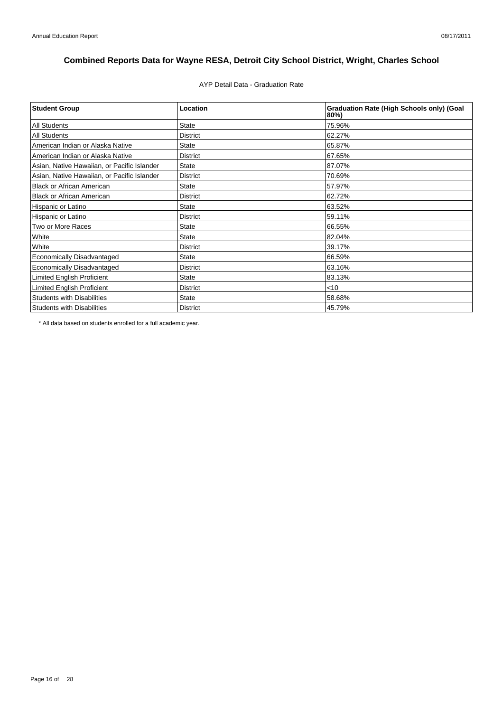AYP Detail Data - Graduation Rate

| <b>Student Group</b>                        | Location        | <b>Graduation Rate (High Schools only) (Goal</b><br>80%) |
|---------------------------------------------|-----------------|----------------------------------------------------------|
| <b>All Students</b>                         | <b>State</b>    | 75.96%                                                   |
| <b>All Students</b>                         | <b>District</b> | 62.27%                                                   |
| American Indian or Alaska Native            | <b>State</b>    | 65.87%                                                   |
| American Indian or Alaska Native            | <b>District</b> | 67.65%                                                   |
| Asian, Native Hawaiian, or Pacific Islander | <b>State</b>    | 87.07%                                                   |
| Asian, Native Hawaiian, or Pacific Islander | <b>District</b> | 70.69%                                                   |
| <b>Black or African American</b>            | <b>State</b>    | 57.97%                                                   |
| <b>Black or African American</b>            | <b>District</b> | 62.72%                                                   |
| Hispanic or Latino                          | <b>State</b>    | 63.52%                                                   |
| Hispanic or Latino                          | <b>District</b> | 59.11%                                                   |
| Two or More Races                           | <b>State</b>    | 66.55%                                                   |
| White                                       | <b>State</b>    | 82.04%                                                   |
| White                                       | <b>District</b> | 39.17%                                                   |
| Economically Disadvantaged                  | <b>State</b>    | 66.59%                                                   |
| <b>Economically Disadvantaged</b>           | <b>District</b> | 63.16%                                                   |
| <b>Limited English Proficient</b>           | <b>State</b>    | 83.13%                                                   |
| Limited English Proficient                  | <b>District</b> | $<$ 10                                                   |
| <b>Students with Disabilities</b>           | <b>State</b>    | 58.68%                                                   |
| <b>Students with Disabilities</b>           | <b>District</b> | 45.79%                                                   |

\* All data based on students enrolled for a full academic year.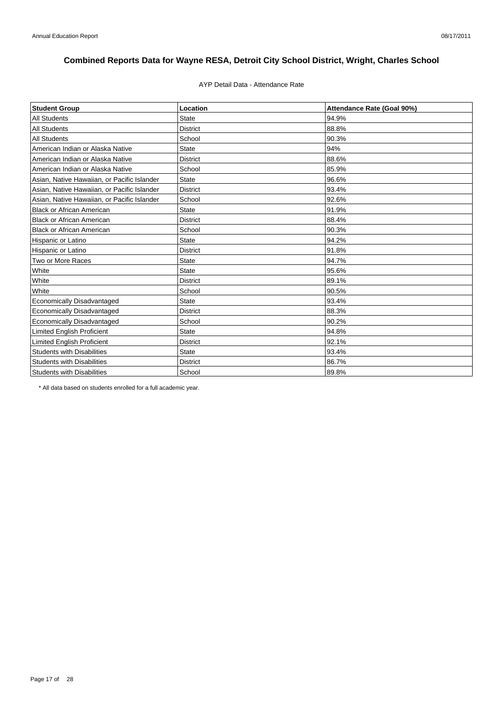## AYP Detail Data - Attendance Rate

| <b>Student Group</b>                        | Location        | Attendance Rate (Goal 90%) |
|---------------------------------------------|-----------------|----------------------------|
| <b>All Students</b>                         | <b>State</b>    | 94.9%                      |
| <b>All Students</b>                         | <b>District</b> | 88.8%                      |
| <b>All Students</b>                         | School          | 90.3%                      |
| American Indian or Alaska Native            | <b>State</b>    | 94%                        |
| American Indian or Alaska Native            | <b>District</b> | 88.6%                      |
| American Indian or Alaska Native            | School          | 85.9%                      |
| Asian, Native Hawaiian, or Pacific Islander | <b>State</b>    | 96.6%                      |
| Asian, Native Hawaiian, or Pacific Islander | <b>District</b> | 93.4%                      |
| Asian, Native Hawaiian, or Pacific Islander | School          | 92.6%                      |
| <b>Black or African American</b>            | State           | 91.9%                      |
| <b>Black or African American</b>            | District        | 88.4%                      |
| <b>Black or African American</b>            | School          | 90.3%                      |
| Hispanic or Latino                          | State           | 94.2%                      |
| Hispanic or Latino                          | <b>District</b> | 91.8%                      |
| Two or More Races                           | <b>State</b>    | 94.7%                      |
| White                                       | <b>State</b>    | 95.6%                      |
| White                                       | <b>District</b> | 89.1%                      |
| White                                       | School          | 90.5%                      |
| Economically Disadvantaged                  | <b>State</b>    | 93.4%                      |
| <b>Economically Disadvantaged</b>           | <b>District</b> | 88.3%                      |
| Economically Disadvantaged                  | School          | 90.2%                      |
| <b>Limited English Proficient</b>           | <b>State</b>    | 94.8%                      |
| <b>Limited English Proficient</b>           | <b>District</b> | 92.1%                      |
| <b>Students with Disabilities</b>           | <b>State</b>    | 93.4%                      |
| <b>Students with Disabilities</b>           | <b>District</b> | 86.7%                      |
| <b>Students with Disabilities</b>           | School          | 89.8%                      |

\* All data based on students enrolled for a full academic year.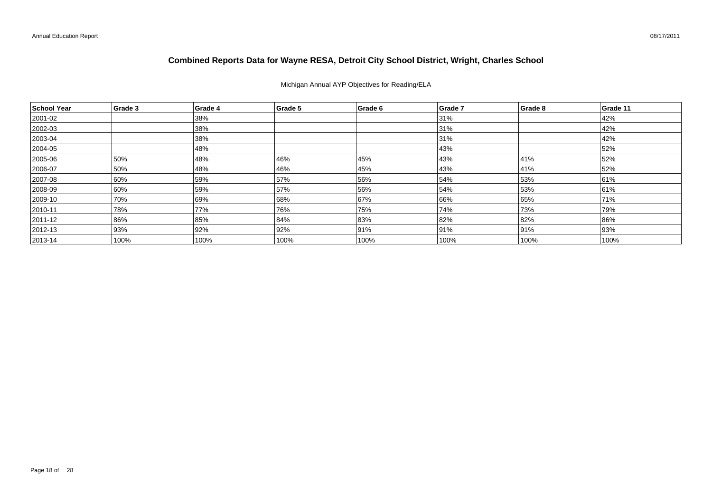### Michigan Annual AYP Objectives for Reading/ELA

| School Year   | Grade 3 | Grade 4 | Grade 5 | Grade 6 | Grade 7 | Grade 8 | Grade 11 |
|---------------|---------|---------|---------|---------|---------|---------|----------|
| 2001-02       |         | 38%     |         |         | 31%     |         | 42%      |
| 2002-03       |         | 38%     |         |         | 31%     |         | 42%      |
| $ 2003 - 04$  |         | 38%     |         |         | 31%     |         | 42%      |
| $ 2004 - 05 $ |         | 48%     |         |         | 43%     |         | 52%      |
| 2005-06       | 50%     | 48%     | 46%     | 45%     | 43%     | 41%     | 52%      |
| 2006-07       | 50%     | 48%     | 46%     | 45%     | 43%     | 41%     | 52%      |
| 2007-08       | 60%     | 59%     | 57%     | 56%     | 54%     | 53%     | 61%      |
| 2008-09       | 60%     | 59%     | 57%     | 56%     | 54%     | 53%     | 61%      |
| 2009-10       | 70%     | 69%     | 68%     | 67%     | 66%     | 65%     | 71%      |
| $ 2010 - 11$  | 78%     | 77%     | 76%     | 75%     | 74%     | 73%     | 79%      |
| $ 2011 - 12 $ | 86%     | 85%     | 84%     | 83%     | 82%     | 82%     | 86%      |
| $ 2012 - 13 $ | 93%     | 92%     | 92%     | 91%     | 91%     | 91%     | 93%      |
| $ 2013 - 14 $ | 100%    | 100%    | 100%    | 100%    | 100%    | 100%    | 100%     |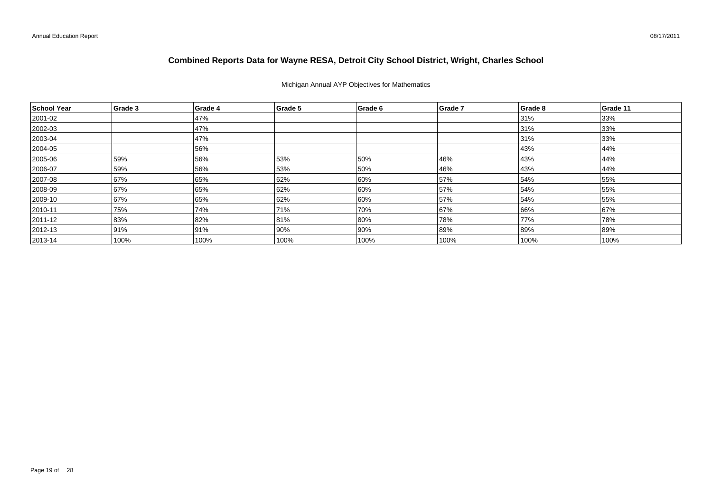### Michigan Annual AYP Objectives for Mathematics

| School Year  | Grade 3 | Grade 4 | Grade 5 | Grade 6 | Grade 7 | Grade 8 | Grade 11 |
|--------------|---------|---------|---------|---------|---------|---------|----------|
| 2001-02      |         | 47%     |         |         |         | 31%     | 33%      |
| 2002-03      |         | 47%     |         |         |         | 31%     | 33%      |
| $ 2003 - 04$ |         | 47%     |         |         |         | 31%     | 33%      |
| 2004-05      |         | 56%     |         |         |         | 43%     | 44%      |
| 2005-06      | 59%     | 56%     | 53%     | 50%     | 46%     | 43%     | 44%      |
| 2006-07      | 59%     | 56%     | 53%     | 50%     | 46%     | 43%     | 44%      |
| 2007-08      | 67%     | 65%     | 62%     | 60%     | 57%     | 54%     | 55%      |
| 2008-09      | 67%     | 65%     | 62%     | 60%     | 57%     | 54%     | 55%      |
| 2009-10      | 67%     | 65%     | 62%     | 60%     | 57%     | 54%     | 55%      |
| $ 2010 - 11$ | 75%     | 74%     | 71%     | 70%     | 67%     | 66%     | 67%      |
| 2011-12      | 83%     | 82%     | 81%     | 80%     | 78%     | 77%     | 78%      |
| $ 2012 - 13$ | 91%     | 91%     | 90%     | 90%     | 89%     | 89%     | 89%      |
| $ 2013 - 14$ | 100%    | 100%    | 100%    | 100%    | 100%    | 100%    | 100%     |

08/17/2011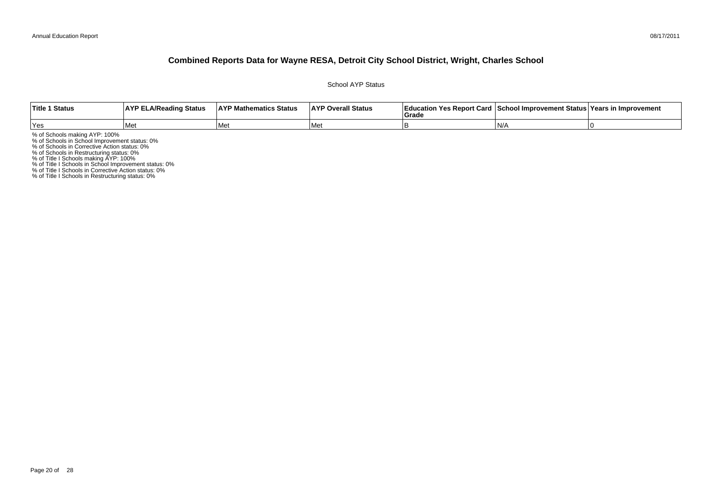School AYP Status

| <b>Title 1 Status</b> | <b>AYP ELA/Reading Status</b> | <b>AYP Mathematics Status</b> | <b>AYP Overall Status</b> | Education Yes Report Card   School Improvement Status   Years in Improvement<br>Grade |    |  |
|-----------------------|-------------------------------|-------------------------------|---------------------------|---------------------------------------------------------------------------------------|----|--|
| <b>Yes</b>            | l Mei                         | l Met                         | <b>Me</b>                 |                                                                                       | N/ |  |

% of Schools making AYP: 100%<br>% of Schools in School Improvement status: 0%<br>% of Schools in Corrective Action status: 0%<br>% of Schools in Restructuring status: 0%<br>% of Title I Schools in School Improvement status: 0%<br>% of T

% of Title I Schools in Restructuring status: 0%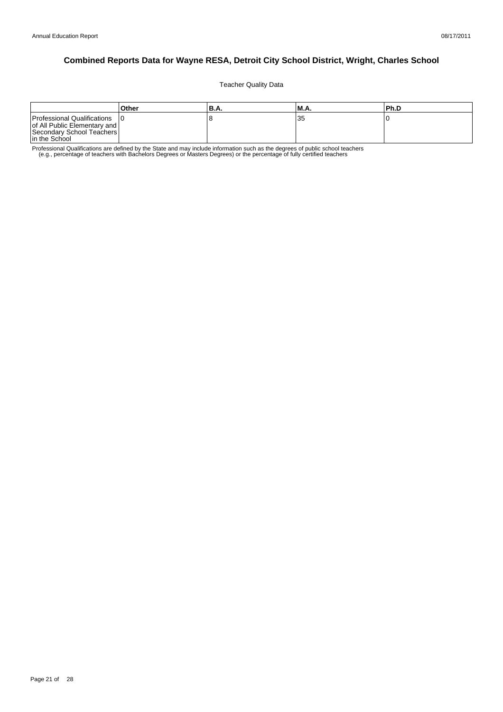Teacher Quality Data

|                                                                                                             | Other | IB.A. | IM.A. | l Ph.D |
|-------------------------------------------------------------------------------------------------------------|-------|-------|-------|--------|
| Professional Qualifications<br>of All Public Elementary and  <br>Secondary School Teachers<br>In the School |       |       | 35    |        |

Professional Qualifications are defined by the State and may include information such as the degrees of public school teachers<br>e.g., percentage of teachers with Bachelors Degrees or Masters Degrees) or the percentage of fu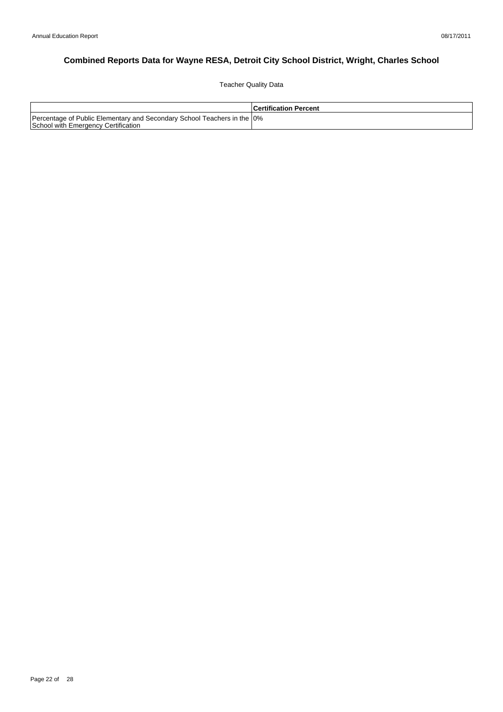Teacher Quality Data

|                                                                                                                 | <b>Certification Percent</b> |
|-----------------------------------------------------------------------------------------------------------------|------------------------------|
| Percentage of Public Elementary and Secondary School Teachers in the 10%<br>School with Emergency Certification |                              |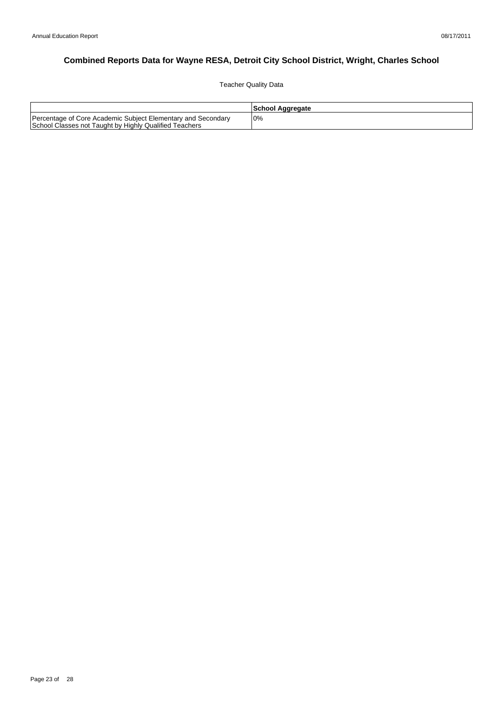Teacher Quality Data

|                                                                                                                        | School Aggregate |
|------------------------------------------------------------------------------------------------------------------------|------------------|
| Percentage of Core Academic Subject Elementary and Secondary<br>School Classes not Taught by Highly Qualified Teachers | l0%              |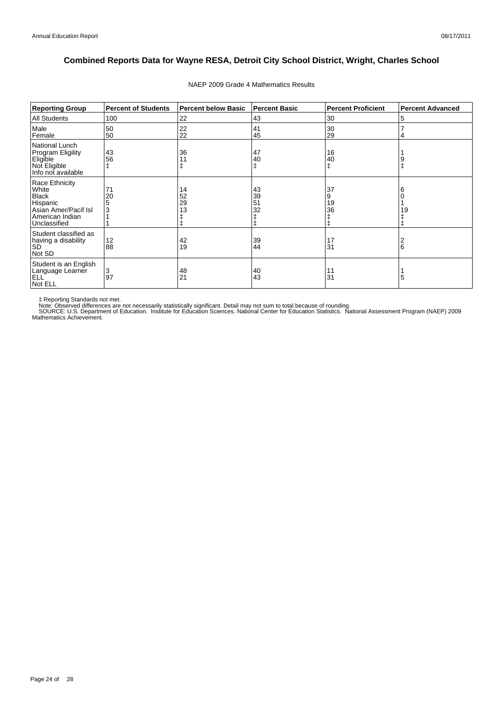| <b>Reporting Group</b>                                                                                         | <b>Percent of Students</b> | <b>Percent below Basic</b> | Percent Basic        | <b>Percent Proficient</b>         | <b>Percent Advanced</b> |
|----------------------------------------------------------------------------------------------------------------|----------------------------|----------------------------|----------------------|-----------------------------------|-------------------------|
| All Students                                                                                                   | 100                        | 22                         | 43                   | 30                                | 5                       |
| Male<br>Female                                                                                                 | 50<br>50                   | 22<br>22                   | 41<br>45             | 30<br>29                          | 4                       |
| National Lunch<br>Program Eligility<br>Eligible<br>Not Eligible<br>Info not available                          | 43<br>56                   | 36<br>11                   | 47<br>40             | 16<br>40<br>ŧ                     |                         |
| Race Ethnicity<br>White<br><b>Black</b><br>Hispanic<br>Asian Amer/Pacif Isl<br>American Indian<br>Unclassified | 71<br>20                   | 14<br>52<br>29<br>13       | 43<br>39<br>51<br>32 | 37<br>9<br>19<br>36<br>$\ddagger$ | 6<br>19                 |
| Student classified as<br>having a disability<br><b>SD</b><br>Not SD                                            | 12<br>88                   | 42<br>19                   | 39<br>44             | 17<br>31                          | 6                       |
| Student is an English<br>Language Learner<br><b>ELL</b><br>Not ELL                                             | 3<br>97                    | 48<br>21                   | 40<br>43             | 11<br>31                          | 5                       |

### NAEP 2009 Grade 4 Mathematics Results

‡ Reporting Standards not met.<br>Note: Observed differences are not necessarily statistically significant. Detail may not sum to total because of rounding.<br>SOURCE: U.S. Department of Education. Institute for Education Scien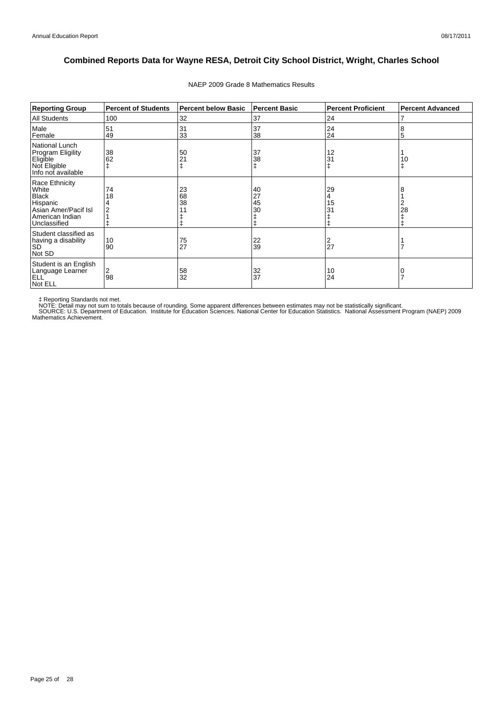| <b>Reporting Group</b>                                                                                         | <b>Percent of Students</b> | <b>Percent below Basic</b> | <b>Percent Basic</b> | <b>Percent Proficient</b> | <b>Percent Advanced</b> |
|----------------------------------------------------------------------------------------------------------------|----------------------------|----------------------------|----------------------|---------------------------|-------------------------|
| <b>All Students</b>                                                                                            | 100                        | 32                         | 37                   | 24                        | 7                       |
| Male<br>Female                                                                                                 | 51<br>49                   | 31<br>33                   | 37<br>38             | 24<br>24                  | 8<br>5                  |
| National Lunch<br><b>Program Eligility</b><br>Eligible<br>Not Eligible<br>Info not available                   | 38<br>62                   | 50<br>21                   | 37<br>38<br>ŧ        | 12<br>31                  | 10                      |
| Race Ethnicity<br>White<br><b>Black</b><br>Hispanic<br>Asian Amer/Pacif Isl<br>American Indian<br>Unclassified | 74<br>18                   | 23<br>68<br>38             | 40<br>27<br>45<br>30 | 29<br>15<br>31            | 8<br>2<br>28            |
| Student classified as<br>having a disability<br><b>SD</b><br>Not SD                                            | 10<br>90                   | 75<br>27                   | 22<br>39             | 2<br>27                   |                         |
| Student is an English<br>Language Learner<br><b>ELL</b><br>Not ELL                                             | 2<br>98                    | 58<br>32                   | 32<br>37             | 10<br>24                  |                         |

### NAEP 2009 Grade 8 Mathematics Results

‡ Reporting Standards not met.<br>NOTE: Detail may not sum to totals because of rounding. Some apparent differences between estimates may not be statistically significant.<br>NOTE: Detail may not sum to totals because of roundin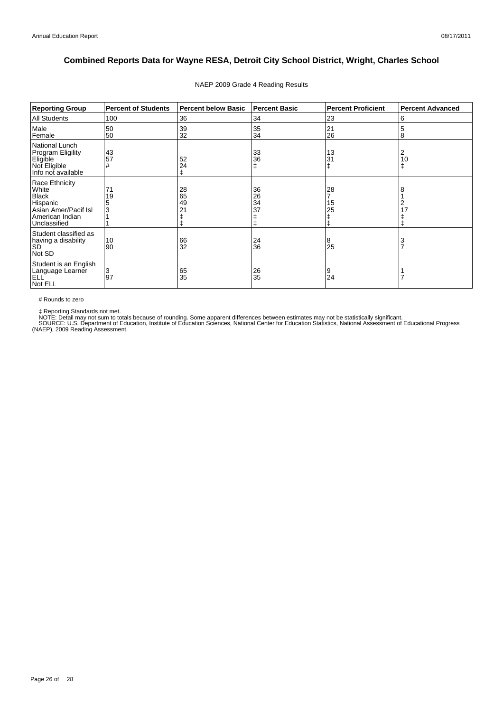| <b>Reporting Group</b>                                                                                         | <b>Percent of Students</b> | <b>Percent below Basic</b>       | <b>Percent Basic</b> | <b>Percent Proficient</b> | <b>Percent Advanced</b> |
|----------------------------------------------------------------------------------------------------------------|----------------------------|----------------------------------|----------------------|---------------------------|-------------------------|
| <b>All Students</b>                                                                                            | 100                        | 36                               | 34                   | 23                        | 6                       |
| Male<br>Female                                                                                                 | 50<br>50                   | 39<br>32                         | 35<br>34             | 21<br>26                  | 5<br>8                  |
| National Lunch<br><b>Program Eligility</b><br>Eligible<br>Not Eligible<br>Info not available                   | 43<br>57<br>#              | 52<br>24<br>ŧ                    | 33<br>36             | 13<br>31                  | 2<br>10<br>ŧ            |
| Race Ethnicity<br>White<br><b>Black</b><br>Hispanic<br>Asian Amer/Pacif Isl<br>American Indian<br>Unclassified | 71<br>19<br>3              | 28<br>65<br>49<br>2 <sub>1</sub> | 36<br>26<br>34<br>37 | 28<br>15<br>25            | 8<br>2<br>17            |
| Student classified as<br>having a disability<br><b>SD</b><br>Not SD                                            | 10<br>90                   | 66<br>32                         | 24<br>36             | 8<br>25                   | 3<br>$\overline{7}$     |
| Student is an English<br>Language Learner<br>ELL <sup>'</sup><br>Not ELL                                       | 3<br>97                    | 65<br>35                         | 26<br>35             | 9<br>24                   |                         |

### NAEP 2009 Grade 4 Reading Results

# Rounds to zero

‡ Reporting Standards not met.<br>NOTE: Detail may not sum to totals because of rounding. Some apparent differences between estimates may not be statistically significant.<br>SOURCE: U.S. Department of Education, Institute of Ed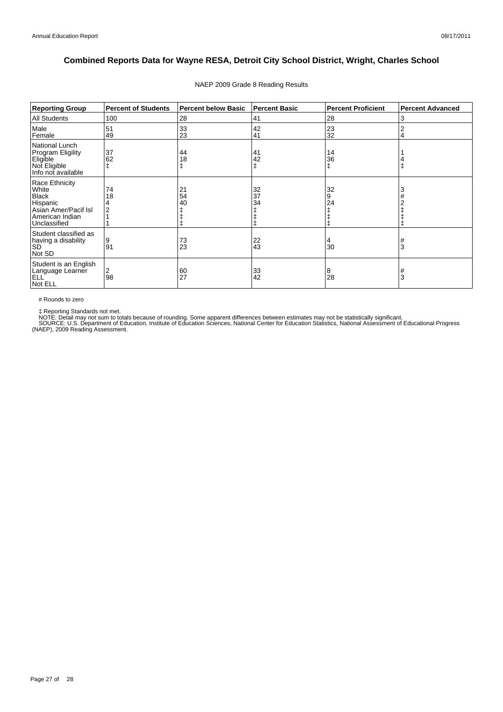| <b>Reporting Group</b>                                                                                         | <b>Percent of Students</b> | <b>Percent below Basic</b> | <b>Percent Basic</b> | <b>Percent Proficient</b> | <b>Percent Advanced</b> |
|----------------------------------------------------------------------------------------------------------------|----------------------------|----------------------------|----------------------|---------------------------|-------------------------|
| <b>All Students</b>                                                                                            | 100                        | 28                         | 41                   | 28                        | 3                       |
| Male<br>Female                                                                                                 | 51<br>49                   | 33<br>23                   | 42<br>41             | 23<br>32                  | 2<br>4                  |
| National Lunch<br><b>Program Eligility</b><br>Eligible<br>Not Eligible<br>Info not available                   | 37<br>62                   | 44<br>18                   | 41<br>42             | 14<br>36                  |                         |
| Race Ethnicity<br>White<br><b>Black</b><br>Hispanic<br>Asian Amer/Pacif Isl<br>American Indian<br>Unclassified | 74<br>18                   | 21<br>54<br>40             | 32<br>37<br>34       | 32<br>9<br>24             | 3                       |
| Student classified as<br>having a disability<br><b>SD</b><br>Not SD                                            | 9<br>91                    | 73<br>23                   | 22<br>43             | 30                        | #<br>3                  |
| Student is an English<br>Language Learner<br>ELL <sup>'</sup><br>Not ELL                                       | 2<br>98                    | 60<br>27                   | 33<br>42             | 8<br>28                   | #<br>3                  |

### NAEP 2009 Grade 8 Reading Results

# Rounds to zero

‡ Reporting Standards not met.<br>NOTE: Detail may not sum to totals because of rounding. Some apparent differences between estimates may not be statistically significant.<br>SOURCE: U.S. Department of Education, Institute of Ed